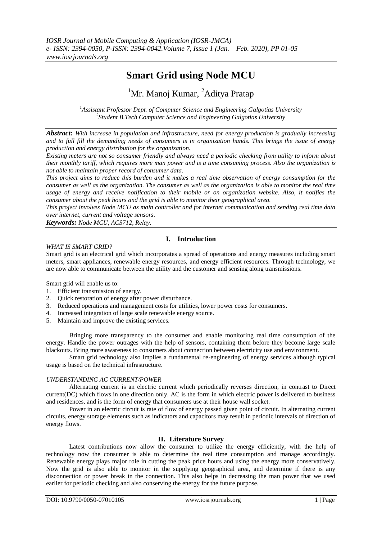# **Smart Grid using Node MCU**

# <sup>1</sup>Mr. Manoj Kumar, <sup>2</sup>Aditya Pratap

*<sup>1</sup>Assistant Professor Dept. of Computer Science and Engineering Galgotias University 2 Student B.Tech Computer Science and Engineering Galgotias University*

*Abstract: With increase in population and infrastructure, need for energy production is gradually increasing and to full fill the demanding needs of consumers is in organization hands. This brings the issue of energy production and energy distribution for the organization.*

*Existing meters are not so consumer friendly and always need a periodic checking from utility to inform about their monthly tariff, which requires more man power and is a time consuming process. Also the organization is not able to maintain proper record of consumer data.*

*This project aims to reduce this burden and it makes a real time observation of energy consumption for the consumer as well as the organization. The consumer as well as the organization is able to monitor the real time usage of energy and receive notification to their mobile or on organization website. Also, it notifies the consumer about the peak hours and the grid is able to monitor their geographical area.*

*This project involves Node MCU as main controller and for internet communication and sending real time data over internet, current and voltage sensors.*

*Keywords: Node MCU, ACS712, Relay.*

## **I. Introduction**

#### *WHAT IS SMART GRID?*

Smart grid is an electrical grid which incorporates a spread of operations and energy measures including smart meters, smart appliances, renewable energy resources, and energy efficient resources. Through technology, we are now able to communicate between the utility and the customer and sensing along transmissions.

Smart grid will enable us to:

- 1. Efficient transmission of energy.
- 2. Quick restoration of energy after power disturbance.
- 3. Reduced operations and management costs for utilities, lower power costs for consumers.
- 4. Increased integration of large scale renewable energy source.
- 5. Maintain and improve the existing services.

Bringing more transparency to the consumer and enable monitoring real time consumption of the energy. Handle the power outrages with the help of sensors, containing them before they become large scale blackouts. Bring more awareness to consumers about connection between electricity use and environment.

Smart grid technology also implies a fundamental re-engineering of energy services although typical usage is based on the technical infrastructure.

#### *UNDERSTANDING AC CURRENT/POWER*

Alternating current is an electric current which periodically reverses direction, in contrast to Direct current(DC) which flows in one direction only. AC is the form in which electric power is delivered to business and residences, and is the form of energy that consumers use at their house wall socket.

Power in an electric circuit is rate of flow of energy passed given point of circuit. In alternating current circuits, energy storage elements such as indicators and capacitors may result in periodic intervals of direction of energy flows.

#### **II. Literature Survey**

Latest contributions now allow the consumer to utilize the energy efficiently, with the help of technology now the consumer is able to determine the real time consumption and manage accordingly. Renewable energy plays major role in cutting the peak price hours and using the energy more conservatively. Now the grid is also able to monitor in the supplying geographical area, and determine if there is any disconnection or power break in the connection. This also helps in decreasing the man power that we used earlier for periodic checking and also conserving the energy for the future purpose.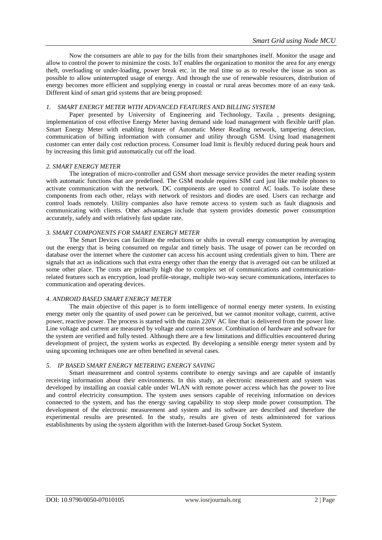Now the consumers are able to pay for the bills from their smartphones itself. Monitor the usage and allow to control the power to minimize the costs. IoT enables the organization to monitor the area for any energy theft, overloading or under-loading, power break etc. in the real time so as to resolve the issue as soon as possible to allow uninterrupted usage of energy. And through the use of renewable resources, distribution of energy becomes more efficient and supplying energy in coastal or rural areas becomes more of an easy task. Different kind of smart grid systems that are being proposed:

#### *1. SMART ENERGY METER WITH ADVANCED FEATURES AND BILLING SYSTEM*

Paper presented by University of Engineering and Technology, Taxila , presents designing, implementation of cost effective Energy Meter having demand side load management with flexible tariff plan. Smart Energy Meter with enabling feature of Automatic Meter Reading network, tampering detection, communication of billing information with consumer and utility through GSM. Using load management customer can enter daily cost reduction process. Consumer load limit is flexibly reduced during peak hours and by increasing this limit grid automatically cut off the load.

#### *2. SMART ENERGY METER*

The integration of micro-controller and GSM short message service provides the meter reading system with automatic functions that are predefined. The GSM module requires SIM card just like mobile phones to activate communication with the network. DC components are used to control AC loads. To isolate these components from each other, relays with network of resistors and diodes are used. Users can recharge and control loads remotely. Utility companies also have remote access to system such as fault diagnosis and communicating with clients. Other advantages include that system provides domestic power consumption accurately, safely and with relatively fast update rate.

#### *3. SMART COMPONENTS FOR SMART ENERGY METER*

The Smart Devices can facilitate the reductions or shifts in overall energy consumption by averaging out the energy that is being consumed on regular and timely basis. The usage of power can be recorded on database over the internet where the customer can access his account using credentials given to him. There are signals that act as indications such that extra energy other than the energy that is averaged out can be utilized at some other place. The costs are primarily high due to complex set of communications and communicationrelated features such as encryption, load profile-storage, multiple two-way secure communications, interfaces to communication and operating devices.

#### *4. ANDROID BASED SMART ENERGY METER*

The main objective of this paper is to form intelligence of normal energy meter system. In existing energy meter only the quantity of used power can be perceived, but we cannot monitor voltage, current, active power, reactive power. The process is started with the main 220V AC line that is delivered from the power line. Line voltage and current are measured by voltage and current sensor. Combination of hardware and software for the system are verified and fully tested. Although there are a few limitations and difficulties encountered during development of project, the system works as expected. By developing a sensible energy meter system and by using upcoming techniques one are often benefited in several cases.

#### *5. IP BASED SMART ENERGY METERING ENERGY SAVING*

Smart measurement and control systems contribute to energy savings and are capable of instantly receiving information about their environments. In this study, an electronic measurement and system was developed by installing an coaxial cable under WLAN with remote power access which has the power to live and control electricity consumption. The system uses sensors capable of receiving information on devices connected to the system, and has the energy saving capability to stop sleep mode power consumption. The development of the electronic measurement and system and its software are described and therefore the experimental results are presented. In the study, results are given of tests administered for various establishments by using the system algorithm with the Internet-based Group Socket System.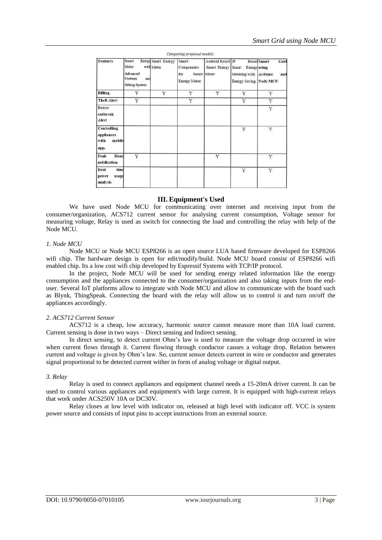| <b>Features</b>                                            | Smart<br>Meter<br>Advanced<br><b>Features</b><br>and<br><b>Billing System</b> | <b>Energy Smart Energy</b><br>with Meter | Smart<br>Components<br>for<br>Smart<br><b>Energy Meter</b> | Android Based IP<br>Smart Energy<br>Meter | Smart<br><b>Energy</b> using<br>Metering with<br><b>Energy Saving Node MCU</b> | <b>Based Smart</b><br>Grid<br>Arduino<br>and |
|------------------------------------------------------------|-------------------------------------------------------------------------------|------------------------------------------|------------------------------------------------------------|-------------------------------------------|--------------------------------------------------------------------------------|----------------------------------------------|
| <b>Billing</b>                                             | Y                                                                             | Y                                        | Y                                                          | Y                                         | Y                                                                              | Y                                            |
| <b>Theft Alert</b>                                         | Y                                                                             |                                          | Y                                                          |                                           | Y                                                                              | Y                                            |
| <b>Power</b><br>outbreak<br>Alert                          |                                                                               |                                          |                                                            |                                           |                                                                                | Y                                            |
| <b>Controlling</b><br>appliances<br>with<br>mobile<br>app. |                                                                               |                                          |                                                            |                                           | Y                                                                              | Y                                            |
| Hour<br>Peak<br>notification                               | Y                                                                             |                                          |                                                            | Y                                         |                                                                                | Y                                            |
| Real<br>time<br>usage<br>power<br>analysis                 |                                                                               |                                          |                                                            |                                           | Y                                                                              | Y                                            |

#### **III. Equipment's Used**

We have used Node MCU for communicating over internet and receiving input from the consumer/organization, ACS712 current sensor for analysing current consumption, Voltage sensor for measuring voltage, Relay is used as switch for connecting the load and controlling the relay with help of the Node MCU.

#### *1. Node MCU*

Node MCU or Node MCU ESP8266 is an open source LUA based firmware developed for ESP8266 wifi chip. The hardware design is open for edit/modify/build. Node MCU board consist of ESP8266 wifi enabled chip. Its a low cost wifi chip developed by Espressif Systems with TCP/IP protocol.

In the project, Node MCU will be used for sending energy related information like the energy consumption and the appliances connected to the consumer/organization and also taking inputs from the enduser. Several IoT platforms allow to integrate with Node MCU and allow to communicate with the board such as Blynk, ThingSpeak. Connecting the board with the relay will allow us to control it and turn on/off the appliances accordingly.

#### *2. ACS712 Current Sensor*

ACS712 is a cheap, low accuracy, harmonic source cannot measure more than 10A load current. Current sensing is done in two ways – Direct sensing and Indirect sensing.

In direct sensing, to detect current Ohm's law is used to measure the voltage drop occurred in wire when current flows through it. Current flowing through conductor causes a voltage drop. Relation between current and voltage is given by Ohm's law. So, current sensor detects current in wire or conductor and generates signal proportional to be detected current wither in form of analog voltage or digital output.

#### *3. Relay*

Relay is used to connect appliances and equipment channel needs a 15-20mA driver current. It can be used to control various appliances and equipment's with large current. It is equipped with high-current relays that work under ACS250V 10A or DC30V.

Relay closes at low level with indicator on, released at high level with indicator off. VCC is system power source and consists of input pins to accept instructions from an external source.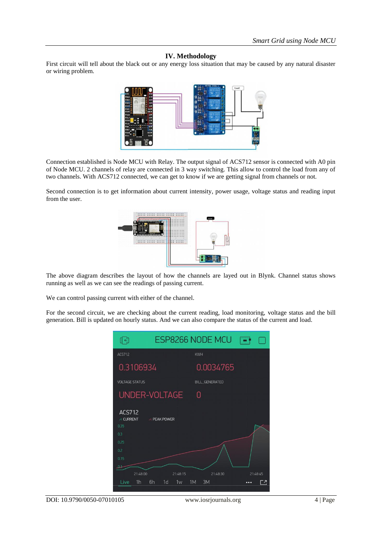### **IV. Methodology**

First circuit will tell about the black out or any energy loss situation that may be caused by any natural disaster or wiring problem.



Connection established is Node MCU with Relay. The output signal of ACS712 sensor is connected with A0 pin of Node MCU. 2 channels of relay are connected in 3 way switching. This allow to control the load from any of two channels. With ACS712 connected, we can get to know if we are getting signal from channels or not.

Second connection is to get information about current intensity, power usage, voltage status and reading input from the user.



The above diagram describes the layout of how the channels are layed out in Blynk. Channel status shows running as well as we can see the readings of passing current.

We can control passing current with either of the channel.

For the second circuit, we are checking about the current reading, load monitoring, voltage status and the bill generation. Bill is updated on hourly status. And we can also compare the status of the current and load.



DOI: 10.9790/0050-07010105 www.iosrjournals.org 4 | Page